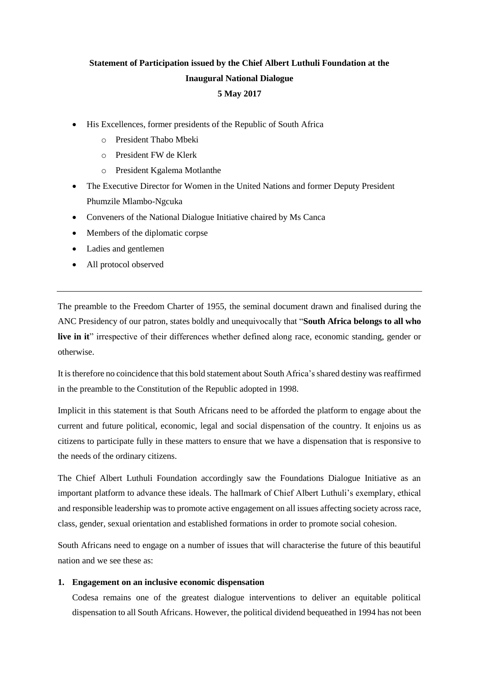# **Statement of Participation issued by the Chief Albert Luthuli Foundation at the Inaugural National Dialogue 5 May 2017**

- His Excellences, former presidents of the Republic of South Africa
	- o President Thabo Mbeki
	- o President FW de Klerk
	- o President Kgalema Motlanthe
- The Executive Director for Women in the United Nations and former Deputy President Phumzile Mlambo-Ngcuka
- Conveners of the National Dialogue Initiative chaired by Ms Canca
- Members of the diplomatic corpse
- Ladies and gentlemen
- All protocol observed

The preamble to the Freedom Charter of 1955, the seminal document drawn and finalised during the ANC Presidency of our patron, states boldly and unequivocally that "**South Africa belongs to all who live in it**" irrespective of their differences whether defined along race, economic standing, gender or otherwise.

It is therefore no coincidence that this bold statement about South Africa'sshared destiny was reaffirmed in the preamble to the Constitution of the Republic adopted in 1998.

Implicit in this statement is that South Africans need to be afforded the platform to engage about the current and future political, economic, legal and social dispensation of the country. It enjoins us as citizens to participate fully in these matters to ensure that we have a dispensation that is responsive to the needs of the ordinary citizens.

The Chief Albert Luthuli Foundation accordingly saw the Foundations Dialogue Initiative as an important platform to advance these ideals. The hallmark of Chief Albert Luthuli's exemplary, ethical and responsible leadership was to promote active engagement on all issues affecting society across race, class, gender, sexual orientation and established formations in order to promote social cohesion.

South Africans need to engage on a number of issues that will characterise the future of this beautiful nation and we see these as:

#### **1. Engagement on an inclusive economic dispensation**

Codesa remains one of the greatest dialogue interventions to deliver an equitable political dispensation to all South Africans. However, the political dividend bequeathed in 1994 has not been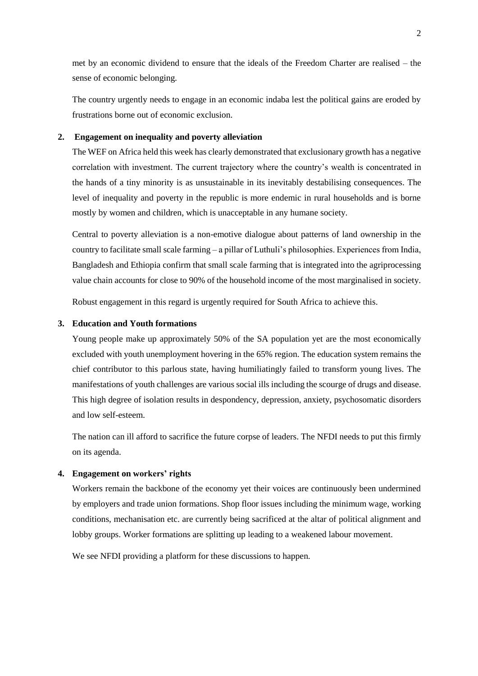met by an economic dividend to ensure that the ideals of the Freedom Charter are realised – the sense of economic belonging.

The country urgently needs to engage in an economic indaba lest the political gains are eroded by frustrations borne out of economic exclusion.

## **2. Engagement on inequality and poverty alleviation**

The WEF on Africa held this week has clearly demonstrated that exclusionary growth has a negative correlation with investment. The current trajectory where the country's wealth is concentrated in the hands of a tiny minority is as unsustainable in its inevitably destabilising consequences. The level of inequality and poverty in the republic is more endemic in rural households and is borne mostly by women and children, which is unacceptable in any humane society.

Central to poverty alleviation is a non-emotive dialogue about patterns of land ownership in the country to facilitate small scale farming – a pillar of Luthuli's philosophies. Experiences from India, Bangladesh and Ethiopia confirm that small scale farming that is integrated into the agriprocessing value chain accounts for close to 90% of the household income of the most marginalised in society.

Robust engagement in this regard is urgently required for South Africa to achieve this.

#### **3. Education and Youth formations**

Young people make up approximately 50% of the SA population yet are the most economically excluded with youth unemployment hovering in the 65% region. The education system remains the chief contributor to this parlous state, having humiliatingly failed to transform young lives. The manifestations of youth challenges are various social ills including the scourge of drugs and disease. This high degree of isolation results in despondency, depression, anxiety, psychosomatic disorders and low self-esteem.

The nation can ill afford to sacrifice the future corpse of leaders. The NFDI needs to put this firmly on its agenda.

## **4. Engagement on workers' rights**

Workers remain the backbone of the economy yet their voices are continuously been undermined by employers and trade union formations. Shop floor issues including the minimum wage, working conditions, mechanisation etc. are currently being sacrificed at the altar of political alignment and lobby groups. Worker formations are splitting up leading to a weakened labour movement.

We see NFDI providing a platform for these discussions to happen.